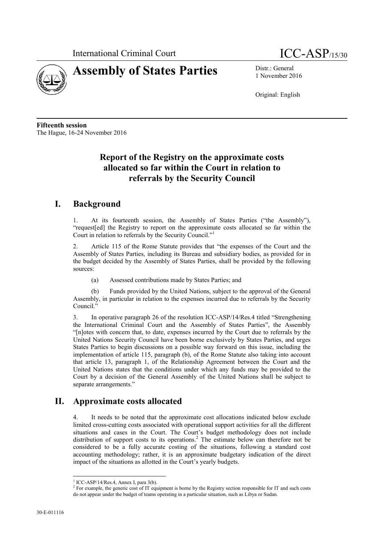



1 November 2016

Original: English

**Fifteenth session** The Hague, 16-24 November 2016

## **Report of the Registry on the approximate costs allocated so far within the Court in relation to referrals by the Security Council**

## **I. Background**

At its fourteenth session, the Assembly of States Parties ("the Assembly"), "request[ed] the Registry to report on the approximate costs allocated so far within the Court in relation to referrals by the Security Council."

2. Article 115 of the Rome Statute provides that "the expenses of the Court and the Assembly of States Parties, including its Bureau and subsidiary bodies, as provided for in the budget decided by the Assembly of States Parties, shall be provided by the following sources:

(a) Assessed contributions made by States Parties; and

(b) Funds provided by the United Nations, subject to the approval of the General Assembly, in particular in relation to the expenses incurred due to referrals by the Security Council."

3. In operative paragraph 26 of the resolution ICC-ASP/14/Res.4 titled "Strengthening the International Criminal Court and the Assembly of States Parties", the Assembly "[n]otes with concern that, to date, expenses incurred by the Court due to referrals by the United Nations Security Council have been borne exclusively by States Parties, and urges States Parties to begin discussions on a possible way forward on this issue, including the implementation of article 115, paragraph (b), of the Rome Statute also taking into account that article 13, paragraph 1, of the Relationship Agreement between the Court and the United Nations states that the conditions under which any funds may be provided to the Court by a decision of the General Assembly of the United Nations shall be subject to separate arrangements."

## **II. Approximate costs allocated**

4. It needs to be noted that the approximate cost allocations indicated below exclude limited cross-cutting costs associated with operational support activities for all the different situations and cases in the Court. The Court's budget methodology does not include distribution of support costs to its operations.<sup>2</sup> The estimate below can therefore not be considered to be a fully accurate costing of the situations, following a standard cost accounting methodology; rather, it is an approximate budgetary indication of the direct impact of the situations as allotted in the Court's yearly budgets.

 $<sup>1</sup>$  ICC-ASP/14/Res.4, Annex I, para 3(b).</sup>

<sup>&</sup>lt;sup>2</sup> For example, the generic cost of IT equipment is borne by the Registry section responsible for IT and such costs do not appear under the budget of teams operating in a particular situation, such as Libya or Sudan.